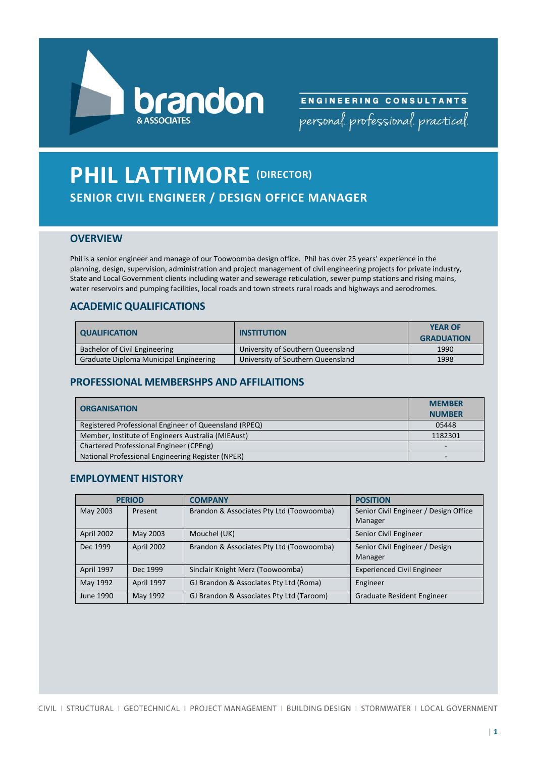



# **PHIL LATTIMORE (DIRECTOR) SENIOR CIVIL ENGINEER / DESIGN OFFICE MANAGER**

## **OVERVIEW**

Phil is a senior engineer and manage of our Toowoomba design office. Phil has over 25 years' experience in the planning, design, supervision, administration and project management of civil engineering projects for private industry, State and Local Government clients including water and sewerage reticulation, sewer pump stations and rising mains, water reservoirs and pumping facilities, local roads and town streets rural roads and highways and aerodromes.

## **ACADEMIC QUALIFICATIONS**

| <b>QUALIFICATION</b>                   | <b>INSTITUTION</b>                | <b>YEAR OF</b><br><b>GRADUATION</b> |
|----------------------------------------|-----------------------------------|-------------------------------------|
| Bachelor of Civil Engineering          | University of Southern Queensland | 1990                                |
| Graduate Diploma Municipal Engineering | University of Southern Queensland | 1998                                |

# **PROFESSIONAL MEMBERSHPS AND AFFILAITIONS**

| <b>ORGANISATION</b>                                   | <b>MEMBER</b> |
|-------------------------------------------------------|---------------|
|                                                       | <b>NUMBER</b> |
| Registered Professional Engineer of Queensland (RPEQ) | 05448         |
| Member, Institute of Engineers Australia (MIEAust)    | 1182301       |
| Chartered Professional Engineer (CPEng)               |               |
| National Professional Engineering Register (NPER)     |               |

## **EMPLOYMENT HISTORY**

|            | <b>PERIOD</b> | <b>COMPANY</b>                           | <b>POSITION</b>                                  |
|------------|---------------|------------------------------------------|--------------------------------------------------|
| May 2003   | Present       | Brandon & Associates Pty Ltd (Toowoomba) | Senior Civil Engineer / Design Office<br>Manager |
| April 2002 | May 2003      | Mouchel (UK)                             | Senior Civil Engineer                            |
| Dec 1999   | April 2002    | Brandon & Associates Pty Ltd (Toowoomba) | Senior Civil Engineer / Design<br>Manager        |
| April 1997 | Dec 1999      | Sinclair Knight Merz (Toowoomba)         | <b>Experienced Civil Engineer</b>                |
| May 1992   | April 1997    | GJ Brandon & Associates Pty Ltd (Roma)   | Engineer                                         |
| June 1990  | May 1992      | GJ Brandon & Associates Pty Ltd (Taroom) | Graduate Resident Engineer                       |